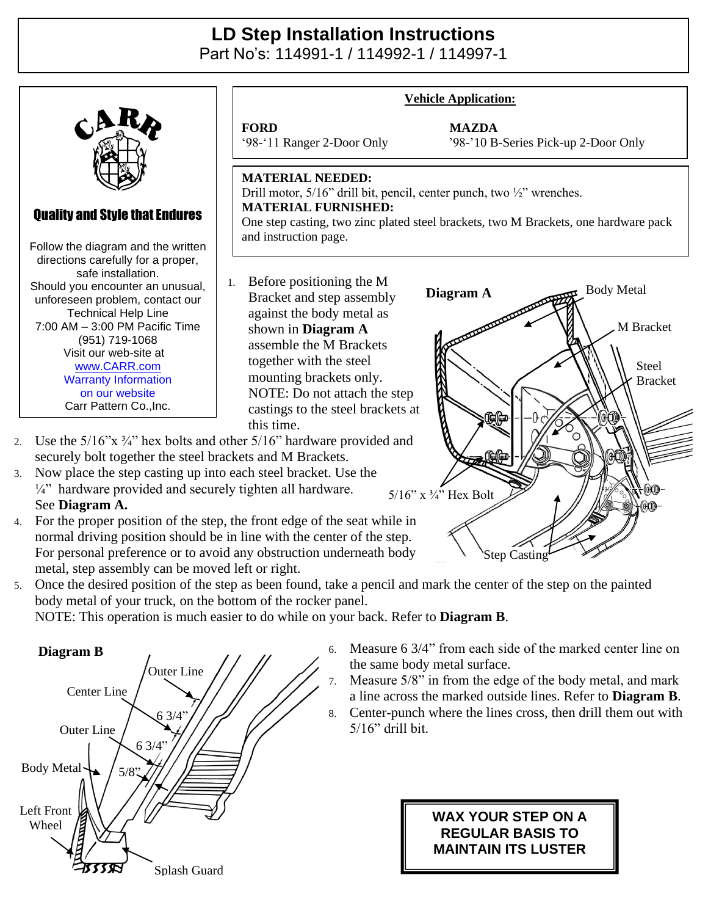## **LD Step Installation Instructions**

Part No's: 114991-1 / 114992-1 / 114997-1



- 3. Now place the step casting up into each steel bracket. Use the  $\frac{1}{4}$ " hardware provided and securely tighten all hardware. See **Diagram A.**
- 4. For the proper position of the step, the front edge of the seat while in normal driving position should be in line with the center of the step. For personal preference or to avoid any obstruction underneath body metal, step assembly can be moved left or right.
- 5. Once the desired position of the step as been found, take a pencil and mark the center of the step on the painted body metal of your truck, on the bottom of the rocker panel.

NOTE: This operation is much easier to do while on your back. Refer to **Diagram B**.



6. Measure 6 3/4" from each side of the marked center line on the same body metal surface.

Step Casting

5/16" x ¾" Hex Bolt

- 7. Measure 5/8" in from the edge of the body metal, and mark a line across the marked outside lines. Refer to **Diagram B**.
- 8. Center-punch where the lines cross, then drill them out with 5/16" drill bit.

## **WAX YOUR STEP ON A REGULAR BASIS TO MAINTAIN ITS LUSTER**